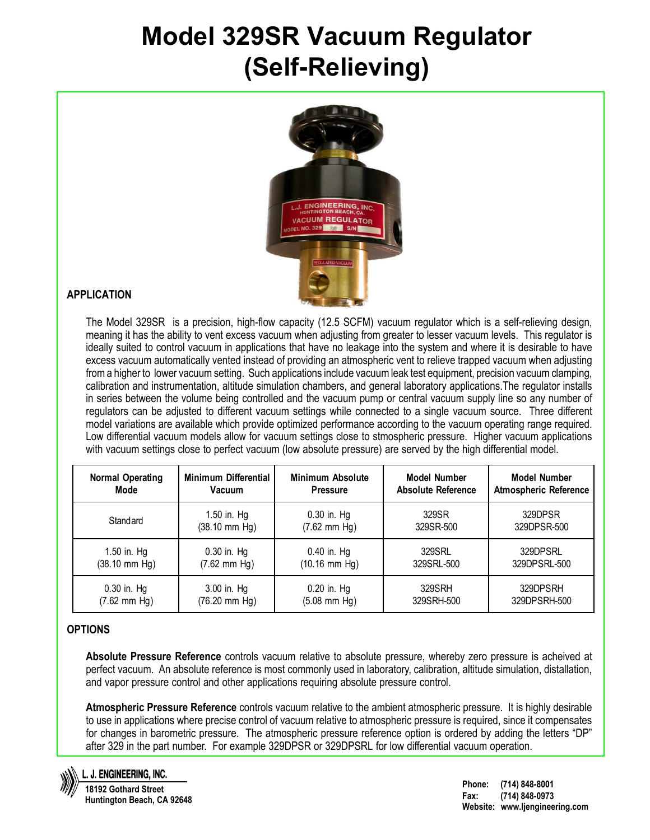# **Model 329SR Vacuum Regulator (Self-Relieving)**



### **APPLICATION**

The Model 329SR is a precision, high-flow capacity (12.5 SCFM) vacuum regulator which is a self-relieving design, meaning it has the ability to vent excess vacuum when adjusting from greater to lesser vacuum levels. This regulator is ideally suited to control vacuum in applications that have no leakage into the system and where it is desirable to have excess vacuum automatically vented instead of providing an atmospheric vent to relieve trapped vacuum when adjusting from a higher to lower vacuum setting. Such applications include vacuum leak test equipment, precision vacuum clamping, calibration and instrumentation, altitude simulation chambers, and general laboratory applications.The regulator installs in series between the volume being controlled and the vacuum pump or central vacuum supply line so any number of regulators can be adjusted to different vacuum settings while connected to a single vacuum source. Three different model variations are available which provide optimized performance according to the vacuum operating range required. Low differential vacuum models allow for vacuum settings close to stmospheric pressure. Higher vacuum applications with vacuum settings close to perfect vacuum (low absolute pressure) are served by the high differential model.

| <b>Normal Operating</b>   | <b>Minimum Differential</b> | <b>Minimum Absolute</b>   | <b>Model Number</b>       | <b>Model Number</b>          |
|---------------------------|-----------------------------|---------------------------|---------------------------|------------------------------|
| Mode                      | Vacuum                      | <b>Pressure</b>           | <b>Absolute Reference</b> | <b>Atmospheric Reference</b> |
| Standard                  | 1.50 in. Hg                 | $0.30$ in. Hg             | 329SR                     | 329DPSR                      |
|                           | $(38.10 \, \text{mm Hg})$   | $(7.62$ mm Hg)            | 329SR-500                 | 329DPSR-500                  |
| 1.50 in. Hg               | $0.30$ in. Hg               | $0.40$ in. Hg             | 329SRL                    | 329DPSRL                     |
| $(38.10 \, \text{mm Hg})$ | $(7.62$ mm Hg)              | $(10.16 \, \text{mm Hg})$ | 329SRL-500                | 329DPSRL-500                 |
| $0.30$ in. Hg             | 3.00 in. Hg                 | $0.20$ in. Hg             | 329SRH                    | 329DPSRH                     |
| $(7.62 \text{ mm Hg})$    | $(76.20 \, \text{mm Hg})$   | $(5.08$ mm Hg)            | 329SRH-500                | 329DPSRH-500                 |

#### **OPTIONS**

**Absolute Pressure Reference** controls vacuum relative to absolute pressure, whereby zero pressure is acheived at perfect vacuum. An absolute reference is most commonly used in laboratory, calibration, altitude simulation, distallation, and vapor pressure control and other applications requiring absolute pressure control.

**Atmospheric Pressure Reference** controls vacuum relative to the ambient atmospheric pressure. It is highly desirable to use in applications where precise control of vacuum relative to atmospheric pressure is required, since it compensates for changes in barometric pressure. The atmospheric pressure reference option is ordered by adding the letters "DP" after 329 in the part number. For example 329DPSR or 329DPSRL for low differential vacuum operation.



#### L. J. ENGINEERING, INC.

**18192 Gothard Street Huntington Beach, CA 92648**